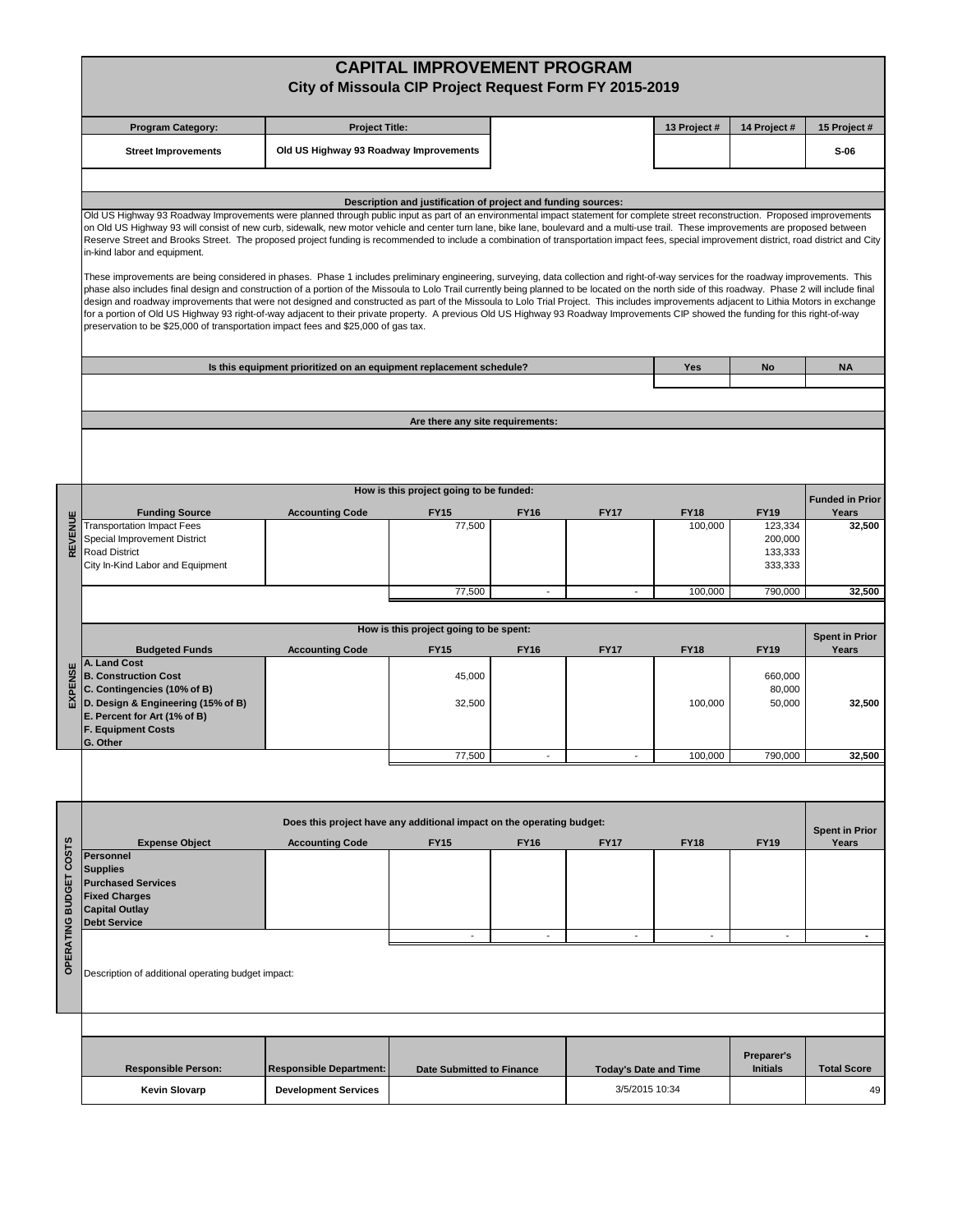|                        | <b>CAPITAL IMPROVEMENT PROGRAM</b><br>City of Missoula CIP Project Request Form FY 2015-2019                                                                                                                                                                                                                                                                                                                                                                                                                                                                                                                                                                                                                                                                                                                                                                                                                                                                                                                                                                                                                                                                                                                                                                                                                                                                                                                                                                                                                                             |                                        |                                                       |                          |                              |                        |                                                         |                                |  |  |  |  |  |
|------------------------|------------------------------------------------------------------------------------------------------------------------------------------------------------------------------------------------------------------------------------------------------------------------------------------------------------------------------------------------------------------------------------------------------------------------------------------------------------------------------------------------------------------------------------------------------------------------------------------------------------------------------------------------------------------------------------------------------------------------------------------------------------------------------------------------------------------------------------------------------------------------------------------------------------------------------------------------------------------------------------------------------------------------------------------------------------------------------------------------------------------------------------------------------------------------------------------------------------------------------------------------------------------------------------------------------------------------------------------------------------------------------------------------------------------------------------------------------------------------------------------------------------------------------------------|----------------------------------------|-------------------------------------------------------|--------------------------|------------------------------|------------------------|---------------------------------------------------------|--------------------------------|--|--|--|--|--|
|                        | <b>Program Category:</b>                                                                                                                                                                                                                                                                                                                                                                                                                                                                                                                                                                                                                                                                                                                                                                                                                                                                                                                                                                                                                                                                                                                                                                                                                                                                                                                                                                                                                                                                                                                 | <b>Project Title:</b>                  |                                                       | 13 Project #             | 14 Project#                  | 15 Project #           |                                                         |                                |  |  |  |  |  |
|                        | <b>Street Improvements</b>                                                                                                                                                                                                                                                                                                                                                                                                                                                                                                                                                                                                                                                                                                                                                                                                                                                                                                                                                                                                                                                                                                                                                                                                                                                                                                                                                                                                                                                                                                               | Old US Highway 93 Roadway Improvements |                                                       |                          |                              |                        |                                                         | $S-06$                         |  |  |  |  |  |
|                        |                                                                                                                                                                                                                                                                                                                                                                                                                                                                                                                                                                                                                                                                                                                                                                                                                                                                                                                                                                                                                                                                                                                                                                                                                                                                                                                                                                                                                                                                                                                                          |                                        |                                                       |                          |                              |                        |                                                         |                                |  |  |  |  |  |
|                        | Description and justification of project and funding sources:<br>Old US Highway 93 Roadway Improvements were planned through public input as part of an environmental impact statement for complete street reconstruction. Proposed improvements<br>on Old US Highway 93 will consist of new curb, sidewalk, new motor vehicle and center turn lane, bike lane, boulevard and a multi-use trail. These improvements are proposed between<br>Reserve Street and Brooks Street. The proposed project funding is recommended to include a combination of transportation impact fees, special improvement district, road district and City<br>in-kind labor and equipment.<br>These improvements are being considered in phases. Phase 1 includes preliminary engineering, surveying, data collection and right-of-way services for the roadway improvements. This<br>phase also includes final design and construction of a portion of the Missoula to Lolo Trail currently being planned to be located on the north side of this roadway. Phase 2 will include final<br>design and roadway improvements that were not designed and constructed as part of the Missoula to Lolo Trial Project. This includes improvements adjacent to Lithia Motors in exchange<br>for a portion of Old US Highway 93 right-of-way adjacent to their private property. A previous Old US Highway 93 Roadway Improvements CIP showed the funding for this right-of-way<br>preservation to be \$25,000 of transportation impact fees and \$25,000 of gas tax. |                                        |                                                       |                          |                              |                        |                                                         |                                |  |  |  |  |  |
|                        | Is this equipment prioritized on an equipment replacement schedule?                                                                                                                                                                                                                                                                                                                                                                                                                                                                                                                                                                                                                                                                                                                                                                                                                                                                                                                                                                                                                                                                                                                                                                                                                                                                                                                                                                                                                                                                      | Yes                                    | No                                                    | <b>NA</b>                |                              |                        |                                                         |                                |  |  |  |  |  |
|                        |                                                                                                                                                                                                                                                                                                                                                                                                                                                                                                                                                                                                                                                                                                                                                                                                                                                                                                                                                                                                                                                                                                                                                                                                                                                                                                                                                                                                                                                                                                                                          |                                        |                                                       |                          |                              |                        |                                                         |                                |  |  |  |  |  |
|                        | Are there any site requirements:                                                                                                                                                                                                                                                                                                                                                                                                                                                                                                                                                                                                                                                                                                                                                                                                                                                                                                                                                                                                                                                                                                                                                                                                                                                                                                                                                                                                                                                                                                         |                                        |                                                       |                          |                              |                        |                                                         |                                |  |  |  |  |  |
|                        |                                                                                                                                                                                                                                                                                                                                                                                                                                                                                                                                                                                                                                                                                                                                                                                                                                                                                                                                                                                                                                                                                                                                                                                                                                                                                                                                                                                                                                                                                                                                          |                                        |                                                       |                          |                              |                        |                                                         |                                |  |  |  |  |  |
|                        |                                                                                                                                                                                                                                                                                                                                                                                                                                                                                                                                                                                                                                                                                                                                                                                                                                                                                                                                                                                                                                                                                                                                                                                                                                                                                                                                                                                                                                                                                                                                          |                                        | How is this project going to be funded:               |                          |                              |                        |                                                         | <b>Funded in Prior</b>         |  |  |  |  |  |
| REVENUE                | <b>Funding Source</b><br><b>Transportation Impact Fees</b><br>Special Improvement District<br><b>Road District</b><br>City In-Kind Labor and Equipment                                                                                                                                                                                                                                                                                                                                                                                                                                                                                                                                                                                                                                                                                                                                                                                                                                                                                                                                                                                                                                                                                                                                                                                                                                                                                                                                                                                   | <b>Accounting Code</b>                 | <b>FY15</b><br>77,500                                 | <b>FY16</b>              | <b>FY17</b>                  | <b>FY18</b><br>100,000 | <b>FY19</b><br>123,334<br>200,000<br>133,333<br>333,333 | Years<br>32,500                |  |  |  |  |  |
|                        |                                                                                                                                                                                                                                                                                                                                                                                                                                                                                                                                                                                                                                                                                                                                                                                                                                                                                                                                                                                                                                                                                                                                                                                                                                                                                                                                                                                                                                                                                                                                          |                                        | 77,500                                                | $\overline{\phantom{a}}$ | $\overline{a}$               | 100,000                | 790,000                                                 | 32,500                         |  |  |  |  |  |
|                        |                                                                                                                                                                                                                                                                                                                                                                                                                                                                                                                                                                                                                                                                                                                                                                                                                                                                                                                                                                                                                                                                                                                                                                                                                                                                                                                                                                                                                                                                                                                                          |                                        |                                                       |                          |                              |                        |                                                         |                                |  |  |  |  |  |
|                        | <b>Budgeted Funds</b>                                                                                                                                                                                                                                                                                                                                                                                                                                                                                                                                                                                                                                                                                                                                                                                                                                                                                                                                                                                                                                                                                                                                                                                                                                                                                                                                                                                                                                                                                                                    | <b>Accounting Code</b>                 | How is this project going to be spent:<br><b>FY15</b> | <b>FY16</b>              | <b>FY17</b>                  | <b>FY18</b>            | <b>FY19</b>                                             | <b>Spent in Prior</b><br>Years |  |  |  |  |  |
| EXPENSE                | A. Land Cost<br><b>B. Construction Cost</b><br>C. Contingencies (10% of B)<br>D. Design & Engineering (15% of B)<br>E. Percent for Art (1% of B)<br><b>F. Equipment Costs</b><br>G. Other                                                                                                                                                                                                                                                                                                                                                                                                                                                                                                                                                                                                                                                                                                                                                                                                                                                                                                                                                                                                                                                                                                                                                                                                                                                                                                                                                |                                        | 45,000<br>32,500                                      |                          |                              | 100,000                | 660.000<br>80,000<br>50,000                             | 32,500                         |  |  |  |  |  |
|                        |                                                                                                                                                                                                                                                                                                                                                                                                                                                                                                                                                                                                                                                                                                                                                                                                                                                                                                                                                                                                                                                                                                                                                                                                                                                                                                                                                                                                                                                                                                                                          |                                        | 77,500                                                |                          |                              | 100,000                | 790,000                                                 | 32,500                         |  |  |  |  |  |
|                        |                                                                                                                                                                                                                                                                                                                                                                                                                                                                                                                                                                                                                                                                                                                                                                                                                                                                                                                                                                                                                                                                                                                                                                                                                                                                                                                                                                                                                                                                                                                                          |                                        |                                                       |                          |                              |                        |                                                         |                                |  |  |  |  |  |
|                        | Does this project have any additional impact on the operating budget:                                                                                                                                                                                                                                                                                                                                                                                                                                                                                                                                                                                                                                                                                                                                                                                                                                                                                                                                                                                                                                                                                                                                                                                                                                                                                                                                                                                                                                                                    |                                        |                                                       |                          |                              |                        |                                                         |                                |  |  |  |  |  |
| OPERATING BUDGET COSTS | <b>Expense Object</b><br>Personnel<br><b>Supplies</b><br><b>Purchased Services</b><br><b>Fixed Charges</b><br><b>Capital Outlay</b><br><b>Debt Service</b>                                                                                                                                                                                                                                                                                                                                                                                                                                                                                                                                                                                                                                                                                                                                                                                                                                                                                                                                                                                                                                                                                                                                                                                                                                                                                                                                                                               | <b>Accounting Code</b>                 | <b>FY15</b>                                           | <b>FY16</b>              | <b>FY17</b>                  | <b>FY18</b>            | <b>FY19</b>                                             | Years                          |  |  |  |  |  |
|                        | $\overline{a}$<br>$\sim$<br>$\sim$<br>$\overline{\phantom{a}}$<br>÷,<br>Description of additional operating budget impact:                                                                                                                                                                                                                                                                                                                                                                                                                                                                                                                                                                                                                                                                                                                                                                                                                                                                                                                                                                                                                                                                                                                                                                                                                                                                                                                                                                                                               |                                        |                                                       |                          |                              |                        |                                                         |                                |  |  |  |  |  |
|                        |                                                                                                                                                                                                                                                                                                                                                                                                                                                                                                                                                                                                                                                                                                                                                                                                                                                                                                                                                                                                                                                                                                                                                                                                                                                                                                                                                                                                                                                                                                                                          |                                        |                                                       |                          |                              |                        |                                                         |                                |  |  |  |  |  |
|                        | <b>Responsible Person:</b>                                                                                                                                                                                                                                                                                                                                                                                                                                                                                                                                                                                                                                                                                                                                                                                                                                                                                                                                                                                                                                                                                                                                                                                                                                                                                                                                                                                                                                                                                                               | <b>Responsible Department:</b>         | <b>Date Submitted to Finance</b>                      |                          | <b>Today's Date and Time</b> |                        | Preparer's<br><b>Initials</b>                           | <b>Total Score</b>             |  |  |  |  |  |
|                        | <b>Kevin Slovarp</b>                                                                                                                                                                                                                                                                                                                                                                                                                                                                                                                                                                                                                                                                                                                                                                                                                                                                                                                                                                                                                                                                                                                                                                                                                                                                                                                                                                                                                                                                                                                     | <b>Development Services</b>            |                                                       |                          | 3/5/2015 10:34               |                        |                                                         | 49                             |  |  |  |  |  |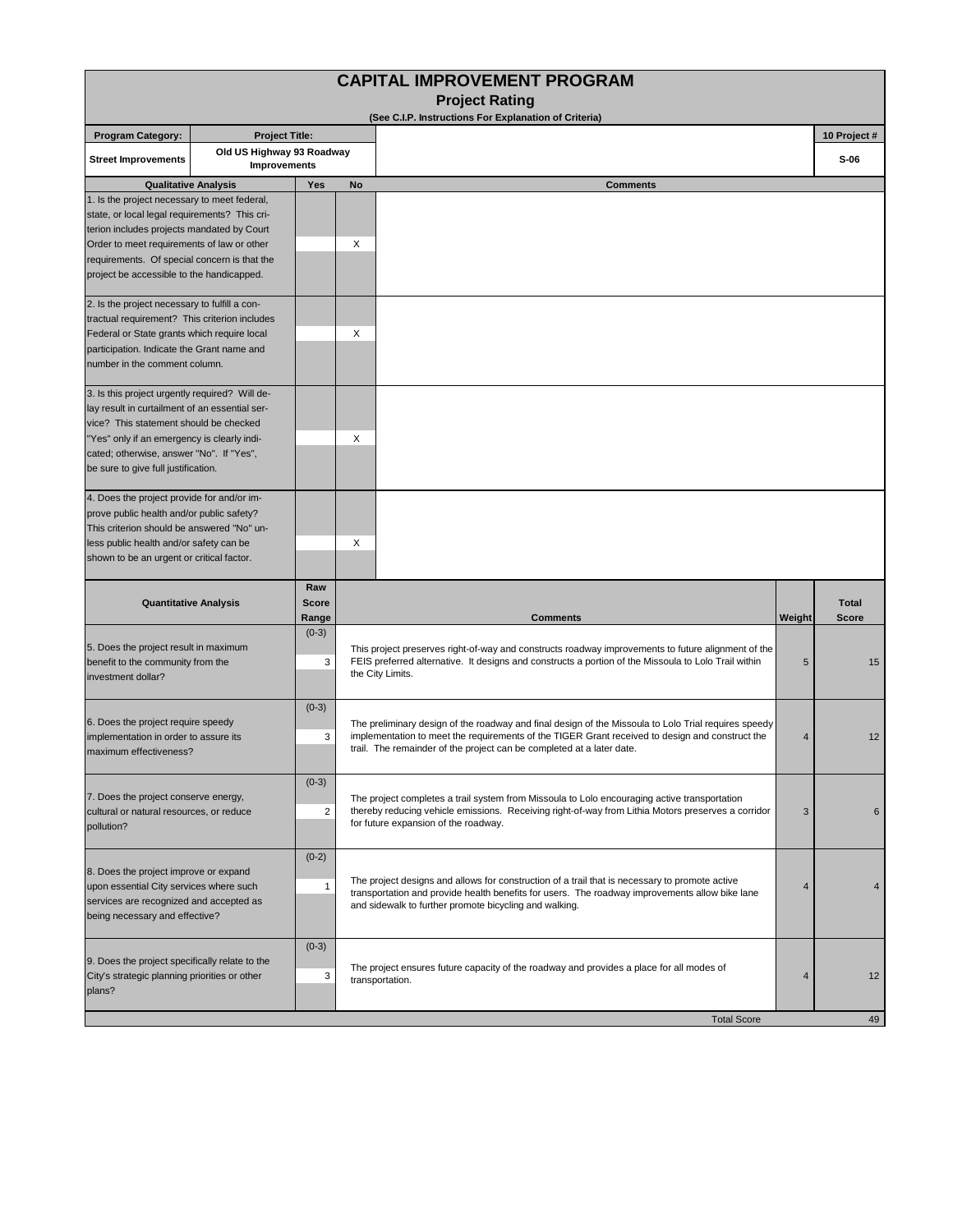|                                                                                                                                                                                                                                                                                        |                                                  |                              | <b>CAPITAL IMPROVEMENT PROGRAM</b><br><b>Project Rating</b>                                                                                                                                                                                                                           |        |                              |  |  |
|----------------------------------------------------------------------------------------------------------------------------------------------------------------------------------------------------------------------------------------------------------------------------------------|--------------------------------------------------|------------------------------|---------------------------------------------------------------------------------------------------------------------------------------------------------------------------------------------------------------------------------------------------------------------------------------|--------|------------------------------|--|--|
|                                                                                                                                                                                                                                                                                        |                                                  |                              | (See C.I.P. Instructions For Explanation of Criteria)                                                                                                                                                                                                                                 |        |                              |  |  |
| <b>Program Category:</b>                                                                                                                                                                                                                                                               | <b>Project Title:</b>                            |                              |                                                                                                                                                                                                                                                                                       |        | 10 Project #                 |  |  |
| <b>Street Improvements</b>                                                                                                                                                                                                                                                             | Old US Highway 93 Roadway<br><b>Improvements</b> |                              |                                                                                                                                                                                                                                                                                       |        | $S-06$                       |  |  |
|                                                                                                                                                                                                                                                                                        | <b>Qualitative Analysis</b>                      | <b>Yes</b>                   | No<br><b>Comments</b>                                                                                                                                                                                                                                                                 |        |                              |  |  |
| 1. Is the project necessary to meet federal,<br>state, or local legal requirements? This cri-<br>terion includes projects mandated by Court<br>Order to meet requirements of law or other<br>requirements. Of special concern is that the<br>project be accessible to the handicapped. |                                                  |                              | X                                                                                                                                                                                                                                                                                     |        |                              |  |  |
| 2. Is the project necessary to fulfill a con-<br>tractual requirement? This criterion includes<br>Federal or State grants which require local<br>participation. Indicate the Grant name and<br>number in the comment column.                                                           |                                                  |                              | X                                                                                                                                                                                                                                                                                     |        |                              |  |  |
| 3. Is this project urgently required? Will de-<br>lay result in curtailment of an essential ser-<br>vice? This statement should be checked<br>"Yes" only if an emergency is clearly indi-<br>cated; otherwise, answer "No". If "Yes",<br>be sure to give full justification.           |                                                  |                              | X                                                                                                                                                                                                                                                                                     |        |                              |  |  |
| 4. Does the project provide for and/or im-<br>prove public health and/or public safety?<br>This criterion should be answered "No" un-<br>less public health and/or safety can be<br>shown to be an urgent or critical factor.                                                          |                                                  |                              | X                                                                                                                                                                                                                                                                                     |        |                              |  |  |
| <b>Quantitative Analysis</b>                                                                                                                                                                                                                                                           |                                                  | Raw<br><b>Score</b><br>Range | <b>Comments</b>                                                                                                                                                                                                                                                                       | Weight | <b>Total</b><br><b>Score</b> |  |  |
| 5. Does the project result in maximum<br>benefit to the community from the<br>investment dollar?                                                                                                                                                                                       |                                                  | $(0-3)$<br>3                 | This project preserves right-of-way and constructs roadway improvements to future alignment of the<br>FEIS preferred alternative. It designs and constructs a portion of the Missoula to Lolo Trail within<br>5<br>the City Limits.                                                   |        |                              |  |  |
| 6. Does the project require speedy<br>implementation in order to assure its<br>maximum effectiveness?                                                                                                                                                                                  |                                                  | $(0-3)$<br>3                 | The preliminary design of the roadway and final design of the Missoula to Lolo Trial requires speedy<br>implementation to meet the requirements of the TIGER Grant received to design and construct the<br>4<br>trail. The remainder of the project can be completed at a later date. |        |                              |  |  |
| 7. Does the project conserve energy,<br>cultural or natural resources, or reduce<br>pollution?                                                                                                                                                                                         |                                                  | $(0-3)$<br>$\overline{2}$    | The project completes a trail system from Missoula to Lolo encouraging active transportation<br>thereby reducing vehicle emissions. Receiving right-of-way from Lithia Motors preserves a corridor<br>3<br>for future expansion of the roadway.                                       |        |                              |  |  |
| 8. Does the project improve or expand<br>upon essential City services where such<br>services are recognized and accepted as<br>being necessary and effective?                                                                                                                          |                                                  | $(0-2)$<br>$\mathbf{1}$      | The project designs and allows for construction of a trail that is necessary to promote active<br>transportation and provide health benefits for users. The roadway improvements allow bike lane<br>and sidewalk to further promote bicycling and walking.                            |        |                              |  |  |
| 9. Does the project specifically relate to the<br>City's strategic planning priorities or other<br>plans?                                                                                                                                                                              |                                                  | $(0-3)$<br>3                 | The project ensures future capacity of the roadway and provides a place for all modes of<br>transportation.                                                                                                                                                                           | 4      | 12                           |  |  |
|                                                                                                                                                                                                                                                                                        |                                                  | <b>Total Score</b>           |                                                                                                                                                                                                                                                                                       | 49     |                              |  |  |